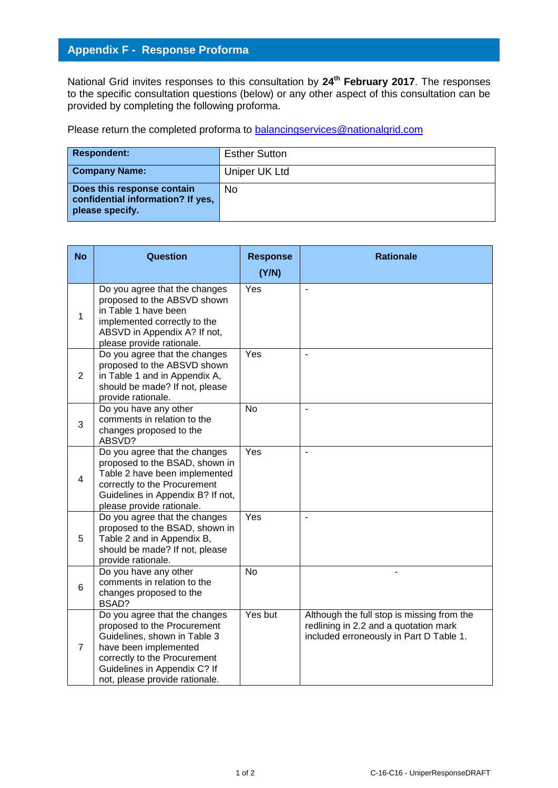## **Appendix F - Response Proforma**

National Grid invites responses to this consultation by **24 th February 2017**. The responses to the specific consultation questions (below) or any other aspect of this consultation can be provided by completing the following proforma.

Please return the completed proforma to [balancingservices@nationalgrid.com](mailto:balancingservices@nationalgrid.com)

| <b>Respondent:</b>                                                                 | <b>Esther Sutton</b> |
|------------------------------------------------------------------------------------|----------------------|
| <b>Company Name:</b>                                                               | Uniper UK Ltd        |
| Does this response contain<br>confidential information? If yes,<br>please specify. | N <sub>0</sub>       |

| <b>No</b>      | <b>Question</b>                                                                                                                                                                                                         | <b>Response</b><br>(Y/N) | <b>Rationale</b>                                                                                                               |
|----------------|-------------------------------------------------------------------------------------------------------------------------------------------------------------------------------------------------------------------------|--------------------------|--------------------------------------------------------------------------------------------------------------------------------|
| 1              | Do you agree that the changes<br>proposed to the ABSVD shown<br>in Table 1 have been<br>implemented correctly to the<br>ABSVD in Appendix A? If not,<br>please provide rationale.                                       | Yes                      | $\blacksquare$                                                                                                                 |
| $\overline{2}$ | Do you agree that the changes<br>proposed to the ABSVD shown<br>in Table 1 and in Appendix A,<br>should be made? If not, please<br>provide rationale.                                                                   | Yes                      | $\blacksquare$                                                                                                                 |
| 3              | Do you have any other<br>comments in relation to the<br>changes proposed to the<br>ABSVD?                                                                                                                               | <b>No</b>                | $\blacksquare$                                                                                                                 |
| $\overline{4}$ | Do you agree that the changes<br>proposed to the BSAD, shown in<br>Table 2 have been implemented<br>correctly to the Procurement<br>Guidelines in Appendix B? If not,<br>please provide rationale.                      | Yes                      |                                                                                                                                |
| 5              | Do you agree that the changes<br>proposed to the BSAD, shown in<br>Table 2 and in Appendix B,<br>should be made? If not, please<br>provide rationale.                                                                   | Yes                      |                                                                                                                                |
| 6              | Do you have any other<br>comments in relation to the<br>changes proposed to the<br>BSAD?                                                                                                                                | <b>No</b>                |                                                                                                                                |
| $\overline{7}$ | Do you agree that the changes<br>proposed to the Procurement<br>Guidelines, shown in Table 3<br>have been implemented<br>correctly to the Procurement<br>Guidelines in Appendix C? If<br>not, please provide rationale. | Yes but                  | Although the full stop is missing from the<br>redlining in 2.2 and a quotation mark<br>included erroneously in Part D Table 1. |